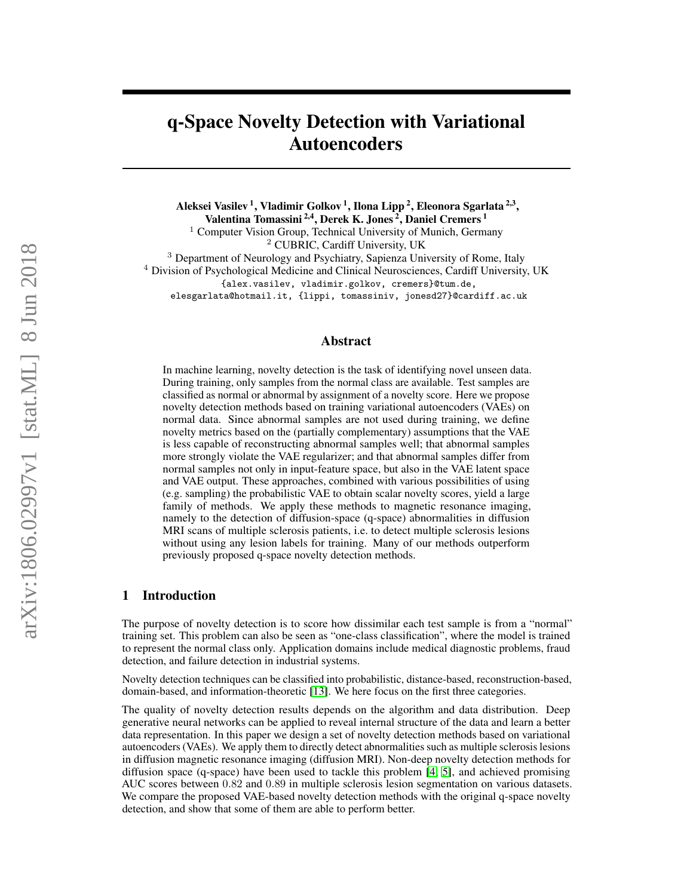# q-Space Novelty Detection with Variational Autoencoders

Aleksei Vasilev <sup>1</sup>, Vladimir Golkov <sup>1</sup>, Ilona Lipp <sup>2</sup>, Eleonora Sgarlata <sup>2,3</sup>,

Valentina Tomassini<sup>2,4</sup>, Derek K. Jones<sup>2</sup>, Daniel Cremers<sup>1</sup>

<sup>1</sup> Computer Vision Group, Technical University of Munich, Germany <sup>2</sup> CUBRIC, Cardiff University, UK

<sup>3</sup> Department of Neurology and Psychiatry, Sapienza University of Rome, Italy

<sup>4</sup> Division of Psychological Medicine and Clinical Neurosciences, Cardiff University, UK

{alex.vasilev, vladimir.golkov, cremers}@tum.de,

elesgarlata@hotmail.it, {lippi, tomassiniv, jonesd27}@cardiff.ac.uk

# Abstract

In machine learning, novelty detection is the task of identifying novel unseen data. During training, only samples from the normal class are available. Test samples are classified as normal or abnormal by assignment of a novelty score. Here we propose novelty detection methods based on training variational autoencoders (VAEs) on normal data. Since abnormal samples are not used during training, we define novelty metrics based on the (partially complementary) assumptions that the VAE is less capable of reconstructing abnormal samples well; that abnormal samples more strongly violate the VAE regularizer; and that abnormal samples differ from normal samples not only in input-feature space, but also in the VAE latent space and VAE output. These approaches, combined with various possibilities of using (e.g. sampling) the probabilistic VAE to obtain scalar novelty scores, yield a large family of methods. We apply these methods to magnetic resonance imaging, namely to the detection of diffusion-space (q-space) abnormalities in diffusion MRI scans of multiple sclerosis patients, i.e. to detect multiple sclerosis lesions without using any lesion labels for training. Many of our methods outperform previously proposed q-space novelty detection methods.

# 1 Introduction

The purpose of novelty detection is to score how dissimilar each test sample is from a "normal" training set. This problem can also be seen as "one-class classification", where the model is trained to represent the normal class only. Application domains include medical diagnostic problems, fraud detection, and failure detection in industrial systems.

Novelty detection techniques can be classified into probabilistic, distance-based, reconstruction-based, domain-based, and information-theoretic [\[13\]](#page-9-0). We here focus on the first three categories.

The quality of novelty detection results depends on the algorithm and data distribution. Deep generative neural networks can be applied to reveal internal structure of the data and learn a better data representation. In this paper we design a set of novelty detection methods based on variational autoencoders (VAEs). We apply them to directly detect abnormalities such as multiple sclerosis lesions in diffusion magnetic resonance imaging (diffusion MRI). Non-deep novelty detection methods for diffusion space (q-space) have been used to tackle this problem [\[4;](#page-8-0) [5\]](#page-8-1), and achieved promising AUC scores between 0.82 and 0.89 in multiple sclerosis lesion segmentation on various datasets. We compare the proposed VAE-based novelty detection methods with the original q-space novelty detection, and show that some of them are able to perform better.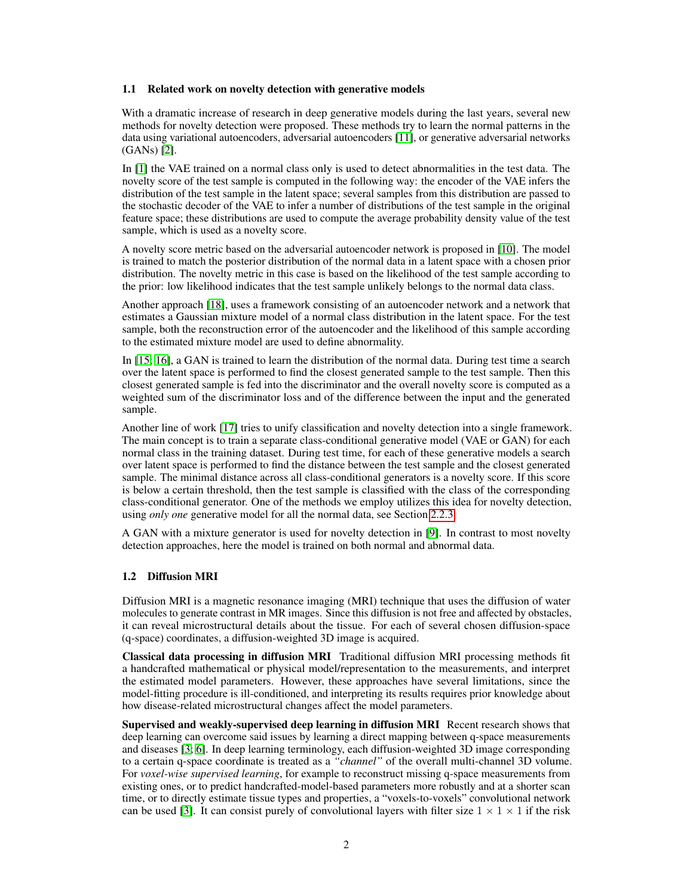## 1.1 Related work on novelty detection with generative models

With a dramatic increase of research in deep generative models during the last years, several new methods for novelty detection were proposed. These methods try to learn the normal patterns in the data using variational autoencoders, adversarial autoencoders [\[11\]](#page-8-2), or generative adversarial networks (GANs) [\[2\]](#page-8-3).

In [\[1\]](#page-8-4) the VAE trained on a normal class only is used to detect abnormalities in the test data. The novelty score of the test sample is computed in the following way: the encoder of the VAE infers the distribution of the test sample in the latent space; several samples from this distribution are passed to the stochastic decoder of the VAE to infer a number of distributions of the test sample in the original feature space; these distributions are used to compute the average probability density value of the test sample, which is used as a novelty score.

A novelty score metric based on the adversarial autoencoder network is proposed in [\[10\]](#page-8-5). The model is trained to match the posterior distribution of the normal data in a latent space with a chosen prior distribution. The novelty metric in this case is based on the likelihood of the test sample according to the prior: low likelihood indicates that the test sample unlikely belongs to the normal data class.

Another approach [\[18\]](#page-9-1), uses a framework consisting of an autoencoder network and a network that estimates a Gaussian mixture model of a normal class distribution in the latent space. For the test sample, both the reconstruction error of the autoencoder and the likelihood of this sample according to the estimated mixture model are used to define abnormality.

In [\[15;](#page-9-2) [16\]](#page-9-3), a GAN is trained to learn the distribution of the normal data. During test time a search over the latent space is performed to find the closest generated sample to the test sample. Then this closest generated sample is fed into the discriminator and the overall novelty score is computed as a weighted sum of the discriminator loss and of the difference between the input and the generated sample.

Another line of work [\[17\]](#page-9-4) tries to unify classification and novelty detection into a single framework. The main concept is to train a separate class-conditional generative model (VAE or GAN) for each normal class in the training dataset. During test time, for each of these generative models a search over latent space is performed to find the distance between the test sample and the closest generated sample. The minimal distance across all class-conditional generators is a novelty score. If this score is below a certain threshold, then the test sample is classified with the class of the corresponding class-conditional generator. One of the methods we employ utilizes this idea for novelty detection, using *only one* generative model for all the normal data, see Section [2.2.3.](#page-5-0)

A GAN with a mixture generator is used for novelty detection in [\[9\]](#page-8-6). In contrast to most novelty detection approaches, here the model is trained on both normal and abnormal data.

# <span id="page-1-0"></span>1.2 Diffusion MRI

Diffusion MRI is a magnetic resonance imaging (MRI) technique that uses the diffusion of water molecules to generate contrast in MR images. Since this diffusion is not free and affected by obstacles, it can reveal microstructural details about the tissue. For each of several chosen diffusion-space (q-space) coordinates, a diffusion-weighted 3D image is acquired.

Classical data processing in diffusion MRI Traditional diffusion MRI processing methods fit a handcrafted mathematical or physical model/representation to the measurements, and interpret the estimated model parameters. However, these approaches have several limitations, since the model-fitting procedure is ill-conditioned, and interpreting its results requires prior knowledge about how disease-related microstructural changes affect the model parameters.

Supervised and weakly-supervised deep learning in diffusion MRI Recent research shows that deep learning can overcome said issues by learning a direct mapping between q-space measurements and diseases [\[3;](#page-8-7) [6\]](#page-8-8). In deep learning terminology, each diffusion-weighted 3D image corresponding to a certain q-space coordinate is treated as a *"channel"* of the overall multi-channel 3D volume. For *voxel-wise supervised learning*, for example to reconstruct missing q-space measurements from existing ones, or to predict handcrafted-model-based parameters more robustly and at a shorter scan time, or to directly estimate tissue types and properties, a "voxels-to-voxels" convolutional network can be used [\[3\]](#page-8-7). It can consist purely of convolutional layers with filter size  $1 \times 1 \times 1$  if the risk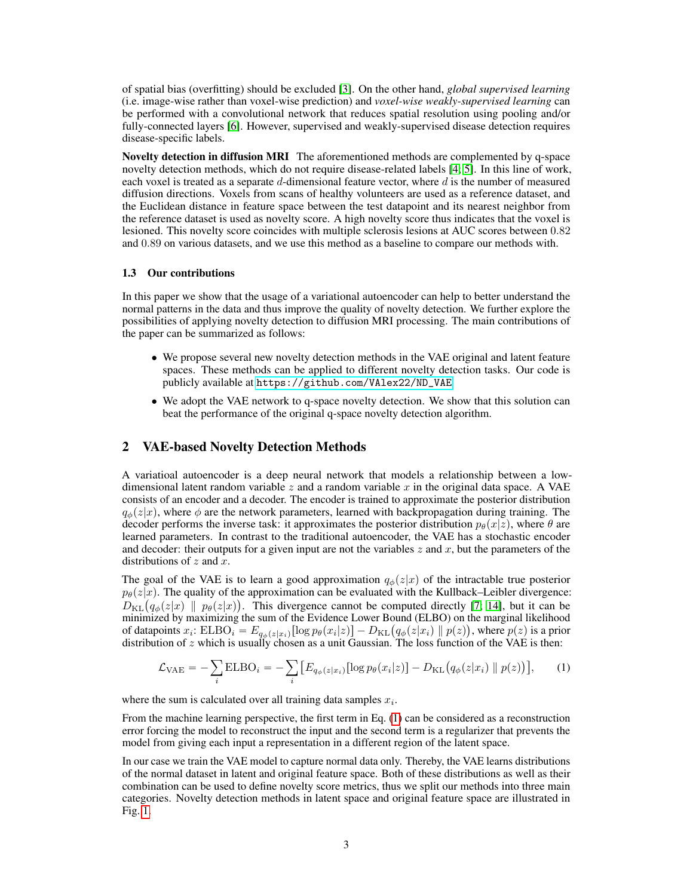of spatial bias (overfitting) should be excluded [\[3\]](#page-8-7). On the other hand, *global supervised learning* (i.e. image-wise rather than voxel-wise prediction) and *voxel-wise weakly-supervised learning* can be performed with a convolutional network that reduces spatial resolution using pooling and/or fully-connected layers [\[6\]](#page-8-8). However, supervised and weakly-supervised disease detection requires disease-specific labels.

Novelty detection in diffusion MRI The aforementioned methods are complemented by q-space novelty detection methods, which do not require disease-related labels [\[4;](#page-8-0) [5\]](#page-8-1). In this line of work, each voxel is treated as a separate  $d$ -dimensional feature vector, where  $d$  is the number of measured diffusion directions. Voxels from scans of healthy volunteers are used as a reference dataset, and the Euclidean distance in feature space between the test datapoint and its nearest neighbor from the reference dataset is used as novelty score. A high novelty score thus indicates that the voxel is lesioned. This novelty score coincides with multiple sclerosis lesions at AUC scores between 0.82 and 0.89 on various datasets, and we use this method as a baseline to compare our methods with.

# 1.3 Our contributions

In this paper we show that the usage of a variational autoencoder can help to better understand the normal patterns in the data and thus improve the quality of novelty detection. We further explore the possibilities of applying novelty detection to diffusion MRI processing. The main contributions of the paper can be summarized as follows:

- We propose several new novelty detection methods in the VAE original and latent feature spaces. These methods can be applied to different novelty detection tasks. Our code is publicly available at [https://github.com/VAlex22/ND\\_VAE](https://github.com/VAlex22/ND_VAE)
- We adopt the VAE network to q-space novelty detection. We show that this solution can beat the performance of the original q-space novelty detection algorithm.

# <span id="page-2-1"></span>2 VAE-based Novelty Detection Methods

A variatioal autoencoder is a deep neural network that models a relationship between a lowdimensional latent random variable z and a random variable x in the original data space. A VAE consists of an encoder and a decoder. The encoder is trained to approximate the posterior distribution  $q_{\phi}(z|x)$ , where  $\phi$  are the network parameters, learned with backpropagation during training. The decoder performs the inverse task: it approximates the posterior distribution  $p_\theta(x|z)$ , where  $\theta$  are learned parameters. In contrast to the traditional autoencoder, the VAE has a stochastic encoder and decoder: their outputs for a given input are not the variables  $z$  and  $x$ , but the parameters of the distributions of  $z$  and  $x$ .

The goal of the VAE is to learn a good approximation  $q_{\phi}(z|x)$  of the intractable true posterior  $p_{\theta}(z|x)$ . The quality of the approximation can be evaluated with the Kullback–Leibler divergence:  $p_{\theta}(z|x)$ . The quality of the approximation can be evaluated with the Kullback–Leibler divergence:<br>  $D_{\text{KL}}(q_{\phi}(z|x) || p_{\theta}(z|x))$ . This divergence cannot be computed directly [\[7;](#page-8-9) [14\]](#page-9-5), but it can be minimized by maximizing the sum of the Evidence Lower Bound (ELBO) on the marginal likelihood minimized by maximizing the sum of the Evidence Lower Bound (ELBO) on the marginal likelihood<br>of datapoints  $x_i$ : ELBO<sub>i</sub> =  $E_{q\phi(z|x_i)}[\log p_\theta(x_i|z)] - D_{\text{KL}}(q_\phi(z|x_i) || p(z))$ , where  $p(z)$  is a prior distribution of z which is usually chosen as a unit Gaussian. The loss function of the VAE is then:

<span id="page-2-0"></span>
$$
\mathcal{L}_{\text{VAE}} = -\sum_{i} \text{ELBO}_{i} = -\sum_{i} \left[ E_{q_{\phi}(z|x_{i})} [\log p_{\theta}(x_{i}|z)] - D_{\text{KL}}(q_{\phi}(z|x_{i}) \parallel p(z)) \right], \tag{1}
$$

where the sum is calculated over all training data samples  $x_i$ .

From the machine learning perspective, the first term in Eq. [\(1\)](#page-2-0) can be considered as a reconstruction error forcing the model to reconstruct the input and the second term is a regularizer that prevents the model from giving each input a representation in a different region of the latent space.

In our case we train the VAE model to capture normal data only. Thereby, the VAE learns distributions of the normal dataset in latent and original feature space. Both of these distributions as well as their combination can be used to define novelty score metrics, thus we split our methods into three main categories. Novelty detection methods in latent space and original feature space are illustrated in Fig. [1.](#page-3-0)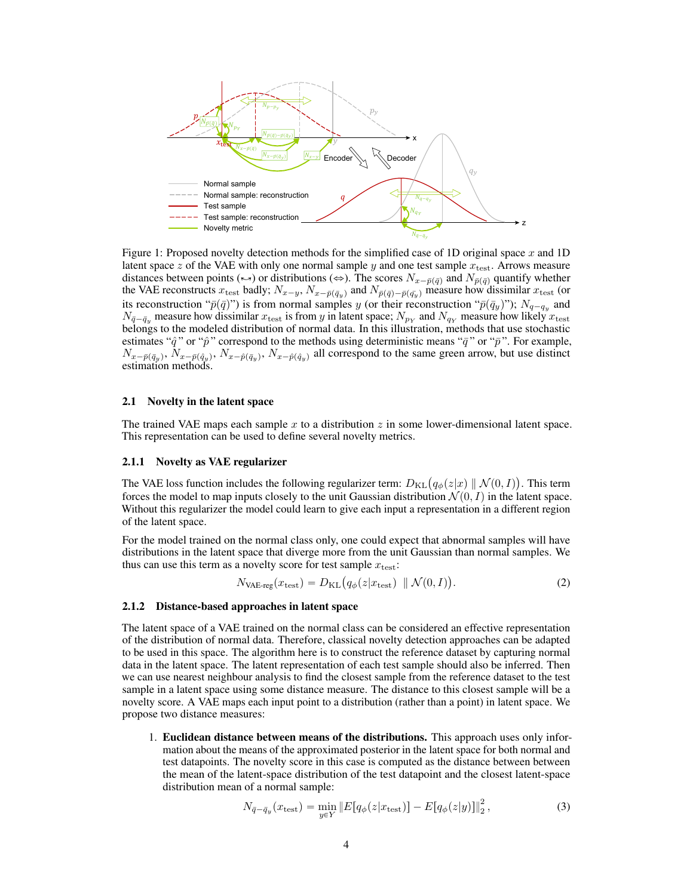<span id="page-3-0"></span>

Figure 1: Proposed novelty detection methods for the simplified case of 1D original space  $x$  and 1D latent space z of the VAE with only one normal sample y and one test sample  $x_{\text{test}}$ . Arrows measure distances between points ( $\leftrightarrow$ ) or distributions ( $\Leftrightarrow$ ). The scores  $N_{x-\bar{p}(\bar{q})}$  and  $N_{\bar{p}(\bar{q})}$  quantify whether the VAE reconstructs  $x_{\text{test}}$  badly;  $N_{x-y}$ ,  $N_{x-\bar{p}(\bar{q}_y)}$  and  $N_{\bar{p}(\bar{q})-\bar{p}(\bar{q}_y)}$  measure how dissimilar  $x_{\text{test}}$  (or its reconstruction " $\bar{p}(\bar{q})$ ") is from normal samples y (or their reconstruction " $\bar{p}(\bar{q}_y)$ ");  $N_{q-q_y}$  and  $N_{\bar{q}-\bar{q}_y}$  measure how dissimilar  $x_{\text{test}}$  is from y in latent space;  $N_{p_Y}$  and  $N_{q_Y}$  measure how likely  $x_{\text{test}}$ belongs to the modeled distribution of normal data. In this illustration, methods that use stochastic estimates " $\hat{q}$ " or " $\hat{p}$ " correspond to the methods using deterministic means " $\bar{q}$ " or " $\bar{p}$ ". For example,  $N_{x-\bar{p}(\bar{q}_y)}, N_{x-\bar{p}(\bar{q}_y)}, N_{x-\hat{p}(\bar{q}_y)}$ ,  $N_{x-\hat{p}(\bar{q}_y)}$  all correspond to the same green arrow, but use distinct estimation methods.

#### 2.1 Novelty in the latent space

The trained VAE maps each sample  $x$  to a distribution  $z$  in some lower-dimensional latent space. This representation can be used to define several novelty metrics.

## 2.1.1 Novelty as VAE regularizer

The VAE loss function includes the following regularizer term:  $D_{\text{KL}}(q_{\phi}(z|x) \parallel \mathcal{N}(0, I))$ . This term forces the model to map inputs closely to the unit Gaussian distribution  $\mathcal{N}(0, I)$  in the latent space. Without this regularizer the model could learn to give each input a representation in a different region of the latent space.

For the model trained on the normal class only, one could expect that abnormal samples will have distributions in the latent space that diverge more from the unit Gaussian than normal samples. We thus can use this term as a novelty score for test sample  $x_{\text{test}}$ :<br> $N_{\text{VAE-reg}}(x_{\text{test}}) = D_{\text{KL}}(q_{\phi}(z|x_{\text{test}}))$ 

$$
N_{\text{VAE-reg}}(x_{\text{test}}) = D_{\text{KL}}(q_{\phi}(z|x_{\text{test}}) \parallel \mathcal{N}(0, I)).
$$
\n(2)

#### <span id="page-3-1"></span>2.1.2 Distance-based approaches in latent space

The latent space of a VAE trained on the normal class can be considered an effective representation of the distribution of normal data. Therefore, classical novelty detection approaches can be adapted to be used in this space. The algorithm here is to construct the reference dataset by capturing normal data in the latent space. The latent representation of each test sample should also be inferred. Then we can use nearest neighbour analysis to find the closest sample from the reference dataset to the test sample in a latent space using some distance measure. The distance to this closest sample will be a novelty score. A VAE maps each input point to a distribution (rather than a point) in latent space. We propose two distance measures:

1. Euclidean distance between means of the distributions. This approach uses only information about the means of the approximated posterior in the latent space for both normal and test datapoints. The novelty score in this case is computed as the distance between between the mean of the latent-space distribution of the test datapoint and the closest latent-space distribution mean of a normal sample:

$$
N_{\bar{q} - \bar{q}_y}(x_{\text{test}}) = \min_{y \in Y} \|E[q_\phi(z|x_{\text{test}})] - E[q_\phi(z|y)]\|_2^2, \tag{3}
$$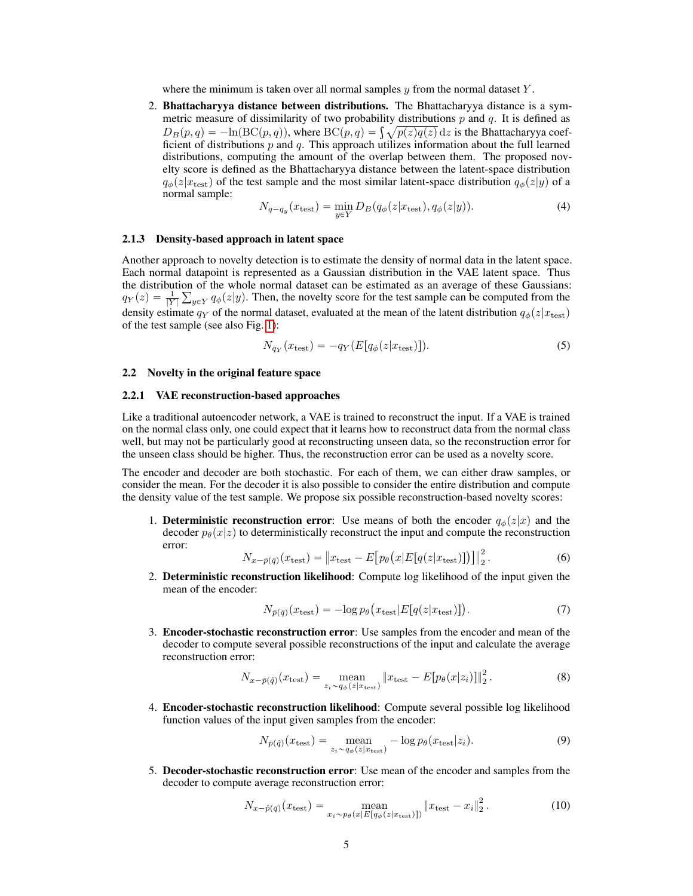where the minimum is taken over all normal samples  $\gamma$  from the normal dataset Y.

2. Bhattacharyya distance between distributions. The Bhattacharyya distance is a symmetric measure of dissimilarity of two probability distributions  $p$  and  $q$ . It is defined as metric measure of dissimilarity of two probability distributions p and q. It is defined as  $D_B(p,q) = -\ln(\text{BC}(p,q))$ , where  $\text{BC}(p,q) = \int \sqrt{p(z)q(z)} dz$  is the Bhattacharyya coefficient of distributions  $p$  and  $q$ . This approach utilizes information about the full learned distributions, computing the amount of the overlap between them. The proposed novelty score is defined as the Bhattacharyya distance between the latent-space distribution  $q_{\phi}(z|x_{\text{test}})$  of the test sample and the most similar latent-space distribution  $q_{\phi}(z|y)$  of a normal sample:

$$
N_{q-q_y}(x_{\text{test}}) = \min_{y \in Y} D_B(q_\phi(z|x_{\text{test}}), q_\phi(z|y)).
$$
\n(4)

#### <span id="page-4-3"></span>2.1.3 Density-based approach in latent space

Another approach to novelty detection is to estimate the density of normal data in the latent space. Each normal datapoint is represented as a Gaussian distribution in the VAE latent space. Thus the distribution of the whole normal dataset can be estimated as an average of these Gaussians: ř  $q_Y(z) = \frac{1}{|Y|} \sum_{y \in Y} q_{\phi}(z|y)$ . Then, the novelty score for the test sample can be computed from the density estimate  $q_Y$  of the normal dataset, evaluated at the mean of the latent distribution  $q_\phi(z|x_\text{test})$ of the test sample (see also Fig. [1\)](#page-3-0):

$$
N_{q_Y}(x_{\text{test}}) = -q_Y(E[q_\phi(z|x_{\text{test}})]). \tag{5}
$$

## 2.2 Novelty in the original feature space

#### 2.2.1 VAE reconstruction-based approaches

Like a traditional autoencoder network, a VAE is trained to reconstruct the input. If a VAE is trained on the normal class only, one could expect that it learns how to reconstruct data from the normal class well, but may not be particularly good at reconstructing unseen data, so the reconstruction error for the unseen class should be higher. Thus, the reconstruction error can be used as a novelty score.

The encoder and decoder are both stochastic. For each of them, we can either draw samples, or consider the mean. For the decoder it is also possible to consider the entire distribution and compute the density value of the test sample. We propose six possible reconstruction-based novelty scores:

1. Deterministic reconstruction error: Use means of both the encoder  $q_{\phi}(z|x)$  and the decoder  $p_{\theta}(x|z)$  to deterministically reconstruct the input and compute the reconstruction error: "

$$
N_{x-\bar{p}(\bar{q})}(x_{\text{test}}) = \left\| x_{\text{test}} - E\big[p_{\theta}\big(x|E\big[q(z|x_{\text{test}})\big]\big)\big] \right\|_{2}^{2}.
$$
 (6)

2. Deterministic reconstruction likelihood: Compute log likelihood of the input given the mean of the encoder:

$$
N_{\bar{p}(\bar{q})}(x_{\text{test}}) = -\log p_{\theta}\big(x_{\text{test}}|E[q(z|x_{\text{test}})]\big). \tag{7}
$$

3. Encoder-stochastic reconstruction error: Use samples from the encoder and mean of the decoder to compute several possible reconstructions of the input and calculate the average reconstruction error:

<span id="page-4-1"></span>
$$
N_{x-\bar{p}(\hat{q})}(x_{\text{test}}) = \max_{z_i \sim q_\phi(z|x_{\text{test}})} \|x_{\text{test}} - E[p_\theta(x|z_i)]\|_2^2. \tag{8}
$$

4. Encoder-stochastic reconstruction likelihood: Compute several possible log likelihood function values of the input given samples from the encoder:

<span id="page-4-0"></span>
$$
N_{\bar{p}(\hat{q})}(x_{\text{test}}) = \underset{z_i \sim q_{\phi}(z|x_{\text{test}})}{\text{mean}} - \log p_{\theta}(x_{\text{test}}|z_i). \tag{9}
$$

5. Decoder-stochastic reconstruction error: Use mean of the encoder and samples from the decoder to compute average reconstruction error:

<span id="page-4-2"></span>
$$
N_{x-\hat{p}(\bar{q})}(x_{\text{test}}) = \underset{x_i \sim p_{\theta}(x|E[q_{\phi}(z|x_{\text{test}})])}{\text{mean}} \|x_{\text{test}} - x_i\|_2^2. \tag{10}
$$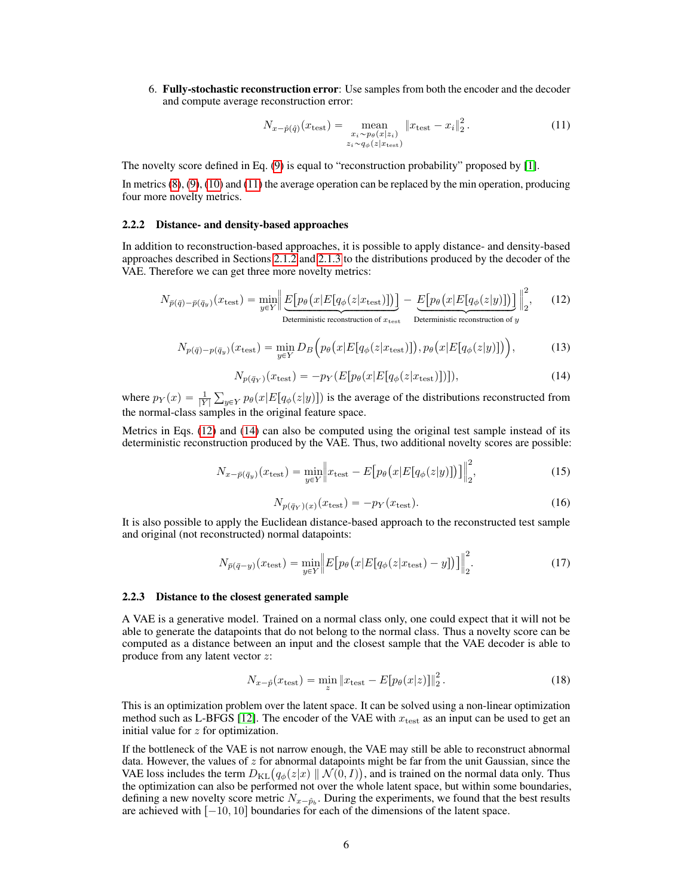6. Fully-stochastic reconstruction error: Use samples from both the encoder and the decoder and compute average reconstruction error:

<span id="page-5-1"></span>
$$
N_{x-\hat{p}(\hat{q})}(x_{\text{test}}) = \underset{\substack{x_i \sim p_\theta(x|z_i) \\ z_i \sim q_\phi(z|x_{\text{test}})}}{\text{mean}} \|x_{\text{test}} - x_i\|_2^2. \tag{11}
$$

The novelty score defined in Eq. [\(9\)](#page-4-0) is equal to "reconstruction probability" proposed by [\[1\]](#page-8-4).

In metrics [\(8\)](#page-4-1), [\(9\)](#page-4-0), [\(10\)](#page-4-2) and [\(11\)](#page-5-1) the average operation can be replaced by the min operation, producing four more novelty metrics.

#### 2.2.2 Distance- and density-based approaches

In addition to reconstruction-based approaches, it is possible to apply distance- and density-based approaches described in Sections [2.1.2](#page-3-1) and [2.1.3](#page-4-3) to the distributions produced by the decoder of the VAE. Therefore we can get three more novelty metrics:

<span id="page-5-2"></span>
$$
N_{\bar{p}(\bar{q})-\bar{p}(\bar{q}_y)}(x_{\text{test}}) = \min_{y \in Y} \left\| \underbrace{E\big[p_\theta\big(x|E\big[q_\phi(z|x_{\text{test}})\big]\big)\big]}_{\text{Deterministic reconstruction of } x_{\text{test}}} - \underbrace{E\big[p_\theta\big(x|E\big[q_\phi(z|y)\big]\big)\big]}_{\text{Deterministic reconstruction of } y} \right\|_2^2, \tag{12}
$$

$$
N_{p(\bar{q})-p(\bar{q}_y)}(x_{\text{test}}) = \min_{y \in Y} D_B\left(p_\theta\left(x|E[q_\phi(z|x_{\text{test}})]\right), p_\theta\left(x|E[q_\phi(z|y)]\right)\right),\tag{13}
$$

<span id="page-5-3"></span>
$$
N_{p(\bar{q}_Y)}(x_{\text{test}}) = -p_Y(E[p_\theta(x|E[q_\phi(z|x_{\text{test}})])]),\tag{14}
$$

where  $p_Y(x) = \frac{1}{|Y|}$  $y \in Y} p_{\theta}(x|E[q_{\phi}(z|y)])$  is the average of the distributions reconstructed from the normal-class samples in the original feature space.

Metrics in Eqs. [\(12\)](#page-5-2) and [\(14\)](#page-5-3) can also be computed using the original test sample instead of its deterministic reconstruction produced by the VAE. Thus, two additional novelty scores are possible:

$$
N_{x-\bar{p}(\bar{q}_y)}(x_{\text{test}}) = \min_{y \in Y} \left\| x_{\text{test}} - E\big[p_\theta\big(x | E\big[q_\phi(z | y)\big]\big)\big] \right\|_2^2, \tag{15}
$$

$$
N_{p(\bar{q}_Y)(x)}(x_{\text{test}}) = -p_Y(x_{\text{test}}). \tag{16}
$$

It is also possible to apply the Euclidean distance-based approach to the reconstructed test sample and original (not reconstructed) normal datapoints:

$$
N_{\bar{p}(\bar{q}-y)}(x_{\text{test}}) = \min_{y \in Y} \Big| E\big[p_{\theta}\big(x|E\big[q_{\phi}(z|x_{\text{test}}) - y\big]\big)\big]\Big|_{2}^{2}.\tag{17}
$$

#### <span id="page-5-0"></span>2.2.3 Distance to the closest generated sample

A VAE is a generative model. Trained on a normal class only, one could expect that it will not be able to generate the datapoints that do not belong to the normal class. Thus a novelty score can be computed as a distance between an input and the closest sample that the VAE decoder is able to produce from any latent vector z:

<span id="page-5-4"></span>
$$
N_{x-\hat{p}}(x_{\text{test}}) = \min_{z} \|x_{\text{test}} - E[p_{\theta}(x|z)]\|_{2}^{2}.
$$
 (18)

This is an optimization problem over the latent space. It can be solved using a non-linear optimization method such as L-BFGS [\[12\]](#page-8-10). The encoder of the VAE with  $x_{\text{test}}$  as an input can be used to get an initial value for  $z$  for optimization.

If the bottleneck of the VAE is not narrow enough, the VAE may still be able to reconstruct abnormal data. However, the values of  $z$  for abnormal datapoints might be far from the unit Gaussian, since the data. However, the values of z for abnormal datapoints might be far from the unit Gaussian, since the VAE loss includes the term  $D_{KL}(q_{\phi}(z|x) \mid \mid \mathcal{N}(0, I))$ , and is trained on the normal data only. Thus the optimization can also be performed not over the whole latent space, but within some boundaries, defining a new novelty score metric  $N_{x-\hat{p}_b}$ . During the experiments, we found that the best results are achieved with  $[-10, 10]$  boundaries for each of the dimensions of the latent space.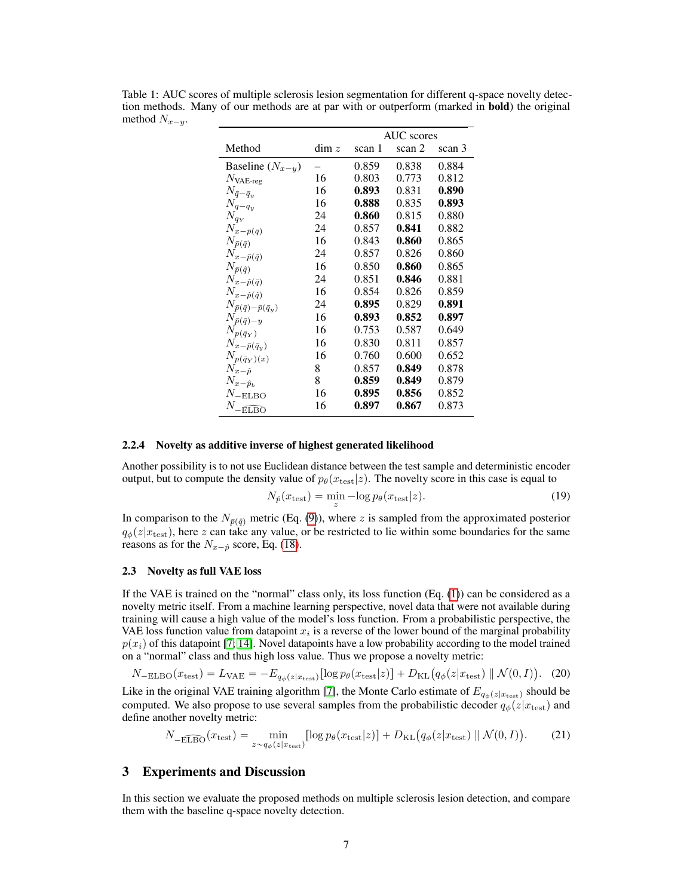|                                           |       | AUC scores |        |        |
|-------------------------------------------|-------|------------|--------|--------|
| Method                                    | dim z | scan 1     | scan 2 | scan 3 |
| Baseline $(N_{x-y})$                      |       | 0.859      | 0.838  | 0.884  |
| $N_{\rm VAE-reg}$                         | 16    | 0.803      | 0.773  | 0.812  |
| $N_{\bar q - \bar q_y}$                   | 16    | 0.893      | 0.831  | 0.890  |
| ${\cal N}_{q-q_y}$                        | 16    | 0.888      | 0.835  | 0.893  |
| $N_{q_{\mathcal{Y}}}$                     | 24    | 0.860      | 0.815  | 0.880  |
| $N_{x-\bar{p}(\bar{q})}$                  | 24    | 0.857      | 0.841  | 0.882  |
| $N_{\bar{p}(\bar{q})}$                    | 16    | 0.843      | 0.860  | 0.865  |
| $N_{x-\bar{p}(\hat{q})}$                  | 24    | 0.857      | 0.826  | 0.860  |
| $N_{\bar{p}(\hat{q})}$                    | 16    | 0.850      | 0.860  | 0.865  |
| $N_{x-\hat{p}(\bar{q})}$                  | 24    | 0.851      | 0.846  | 0.881  |
| $N_{x-\hat{p}(\hat{q})}$                  | 16    | 0.854      | 0.826  | 0.859  |
| $N_{\bar{p}(\bar{q})-\bar{p}(\bar{q}_y)}$ | 24    | 0.895      | 0.829  | 0.891  |
| $N_{\bar{p}(\bar{q})-y}$                  | 16    | 0.893      | 0.852  | 0.897  |
| $N_{p(\bar{q}_Y)}$                        | 16    | 0.753      | 0.587  | 0.649  |
| $N_{x-\bar{p}(\bar{q}_y)}$                | 16    | 0.830      | 0.811  | 0.857  |
| $N_{p(\bar{q}_Y)(x)}$                     | 16    | 0.760      | 0.600  | 0.652  |
| $N_{x-\hat p}$                            | 8     | 0.857      | 0.849  | 0.878  |
| $N_{x-\hat{p}_b}$                         | 8     | 0.859      | 0.849  | 0.879  |
| $N_{\rm -ELBO}$                           | 16    | 0.895      | 0.856  | 0.852  |
| $N_{\overline{\text{ELBO}}}$              | 16    | 0.897      | 0.867  | 0.873  |

<span id="page-6-0"></span>Table 1: AUC scores of multiple sclerosis lesion segmentation for different q-space novelty detection methods. Many of our methods are at par with or outperform (marked in bold) the original method  $N_{x-y}$ .

#### 2.2.4 Novelty as additive inverse of highest generated likelihood

Another possibility is to not use Euclidean distance between the test sample and deterministic encoder output, but to compute the density value of  $p_\theta(x_{\text{test}}|z)$ . The novelty score in this case is equal to

$$
N_{\hat{p}}(x_{\text{test}}) = \min_{z} -\log p_{\theta}(x_{\text{test}}|z). \tag{19}
$$

In comparison to the  $N_{\bar{p}(\hat{q})}$  metric (Eq. [\(9\)](#page-4-0)), where z is sampled from the approximated posterior  $q_{\phi}(z|x_{\text{test}})$ , here z can take any value, or be restricted to lie within some boundaries for the same reasons as for the  $N_{x-\hat{p}}$  score, Eq. [\(18\)](#page-5-4).

# 2.3 Novelty as full VAE loss

If the VAE is trained on the "normal" class only, its loss function  $(Eq. (1))$  $(Eq. (1))$  $(Eq. (1))$  can be considered as a novelty metric itself. From a machine learning perspective, novel data that were not available during training will cause a high value of the model's loss function. From a probabilistic perspective, the VAE loss function value from datapoint  $x_i$  is a reverse of the lower bound of the marginal probability  $p(x_i)$  of this datapoint [\[7;](#page-8-9) [14\]](#page-9-5). Novel datapoints have a low probability according to the model trained

on a "normal" class and thus high loss value. Thus we propose a novelty metric:  
\n
$$
N_{\text{-ELBO}}(x_{\text{test}}) = L_{\text{VAE}} = -E_{q_{\phi}(z|x_{\text{test}})}[\log p_{\theta}(x_{\text{test}}|z)] + D_{\text{KL}}(q_{\phi}(z|x_{\text{test}}) || \mathcal{N}(0, I)). \quad (20)
$$

Like in the original VAE training algorithm [\[7\]](#page-8-9), the Monte Carlo estimate of  $E_{q_{\phi}(z|x_{\text{test}})}$  should be computed. We also propose to use several samples from the probabilistic decoder  $q_{\phi}(z|x_{\text{test}})$  and define another novelty metric:

$$
N_{-\widehat{\text{ELBO}}}(x_{\text{test}}) = \min_{z \sim q_{\phi}(z|x_{\text{test}})} [\log p_{\theta}(x_{\text{test}}|z)] + D_{\text{KL}}(q_{\phi}(z|x_{\text{test}}) \parallel \mathcal{N}(0, I)). \tag{21}
$$

# 3 Experiments and Discussion

In this section we evaluate the proposed methods on multiple sclerosis lesion detection, and compare them with the baseline q-space novelty detection.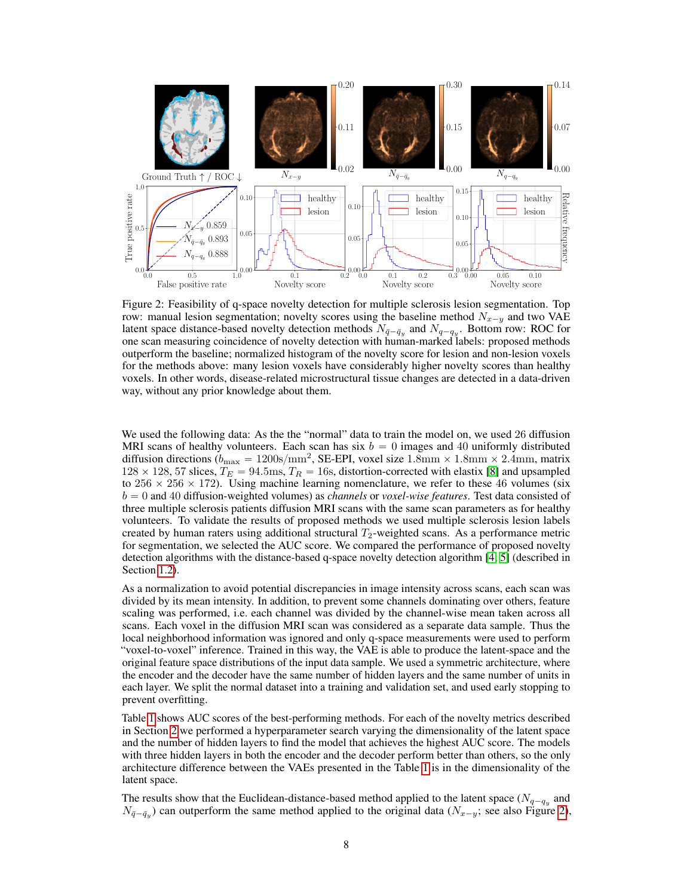<span id="page-7-0"></span>

Figure 2: Feasibility of q-space novelty detection for multiple sclerosis lesion segmentation. Top row: manual lesion segmentation; novelty scores using the baseline method  $N_{x-y}$  and two VAE latent space distance-based novelty detection methods  $N_{\bar{q}-\bar{q}_y}$  and  $N_{q-q_y}$ . Bottom row: ROC for one scan measuring coincidence of novelty detection with human-marked labels: proposed methods outperform the baseline; normalized histogram of the novelty score for lesion and non-lesion voxels for the methods above: many lesion voxels have considerably higher novelty scores than healthy voxels. In other words, disease-related microstructural tissue changes are detected in a data-driven way, without any prior knowledge about them.

We used the following data: As the the "normal" data to train the model on, we used 26 diffusion MRI scans of healthy volunteers. Each scan has six  $b = 0$  images and 40 uniformly distributed diffusion directions  $(b_{\text{max}} = 1200 \text{s/mm}^2,$  SE-EPI, voxel size  $1.8 \text{mm} \times 1.8 \text{mm} \times 2.4 \text{mm}$ , matrix  $128 \times 128$ , 57 slices,  $T_E = 94.5$ ms,  $T_R = 16$ s, distortion-corrected with elastix [\[8\]](#page-8-11) and upsampled to  $256 \times 256 \times 172$ ). Using machine learning nomenclature, we refer to these 46 volumes (six b " 0 and 40 diffusion-weighted volumes) as *channels* or *voxel-wise features*. Test data consisted of three multiple sclerosis patients diffusion MRI scans with the same scan parameters as for healthy volunteers. To validate the results of proposed methods we used multiple sclerosis lesion labels created by human raters using additional structural  $T_2$ -weighted scans. As a performance metric for segmentation, we selected the AUC score. We compared the performance of proposed novelty detection algorithms with the distance-based q-space novelty detection algorithm [\[4;](#page-8-0) [5\]](#page-8-1) (described in Section [1.2\)](#page-1-0).

As a normalization to avoid potential discrepancies in image intensity across scans, each scan was divided by its mean intensity. In addition, to prevent some channels dominating over others, feature scaling was performed, i.e. each channel was divided by the channel-wise mean taken across all scans. Each voxel in the diffusion MRI scan was considered as a separate data sample. Thus the local neighborhood information was ignored and only q-space measurements were used to perform "voxel-to-voxel" inference. Trained in this way, the VAE is able to produce the latent-space and the original feature space distributions of the input data sample. We used a symmetric architecture, where the encoder and the decoder have the same number of hidden layers and the same number of units in each layer. We split the normal dataset into a training and validation set, and used early stopping to prevent overfitting.

Table [1](#page-6-0) shows AUC scores of the best-performing methods. For each of the novelty metrics described in Section [2](#page-2-1) we performed a hyperparameter search varying the dimensionality of the latent space and the number of hidden layers to find the model that achieves the highest AUC score. The models with three hidden layers in both the encoder and the decoder perform better than others, so the only architecture difference between the VAEs presented in the Table [1](#page-6-0) is in the dimensionality of the latent space.

The results show that the Euclidean-distance-based method applied to the latent space ( $N_{q-q_y}$  and  $N_{\bar{q}-\bar{q}_y}$ ) can outperform the same method applied to the original data ( $N_{x-y}$ ; see also Figure [2\)](#page-7-0),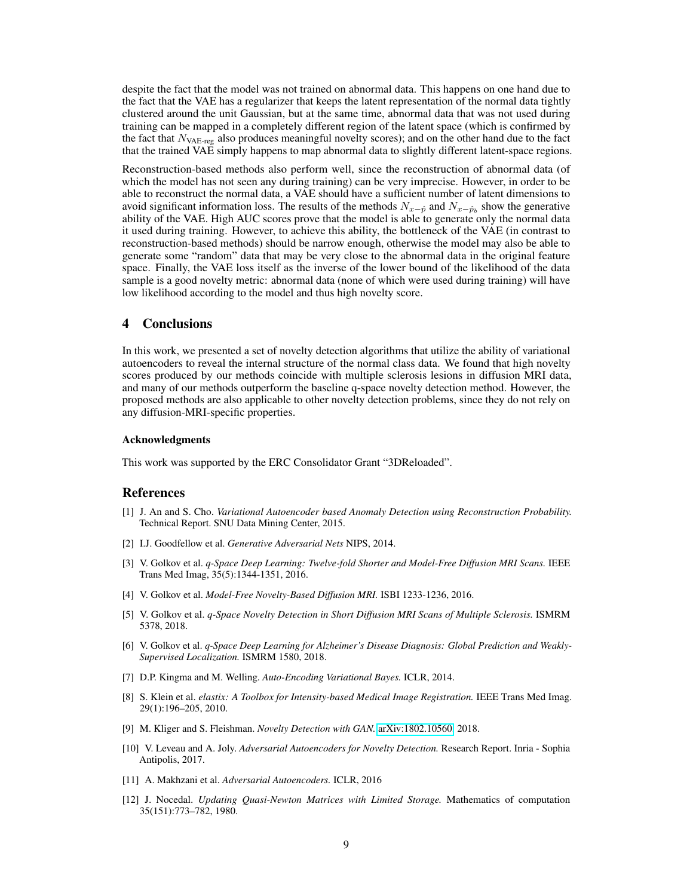despite the fact that the model was not trained on abnormal data. This happens on one hand due to the fact that the VAE has a regularizer that keeps the latent representation of the normal data tightly clustered around the unit Gaussian, but at the same time, abnormal data that was not used during training can be mapped in a completely different region of the latent space (which is confirmed by the fact that  $N_{\text{VAE-reg}}$  also produces meaningful novelty scores); and on the other hand due to the fact that the trained VAE simply happens to map abnormal data to slightly different latent-space regions.

Reconstruction-based methods also perform well, since the reconstruction of abnormal data (of which the model has not seen any during training) can be very imprecise. However, in order to be able to reconstruct the normal data, a VAE should have a sufficient number of latent dimensions to avoid significant information loss. The results of the methods  $N_{x-\hat{p}}$  and  $N_{x-\hat{p}}$ , show the generative ability of the VAE. High AUC scores prove that the model is able to generate only the normal data it used during training. However, to achieve this ability, the bottleneck of the VAE (in contrast to reconstruction-based methods) should be narrow enough, otherwise the model may also be able to generate some "random" data that may be very close to the abnormal data in the original feature space. Finally, the VAE loss itself as the inverse of the lower bound of the likelihood of the data sample is a good novelty metric: abnormal data (none of which were used during training) will have low likelihood according to the model and thus high novelty score.

# 4 Conclusions

In this work, we presented a set of novelty detection algorithms that utilize the ability of variational autoencoders to reveal the internal structure of the normal class data. We found that high novelty scores produced by our methods coincide with multiple sclerosis lesions in diffusion MRI data, and many of our methods outperform the baseline q-space novelty detection method. However, the proposed methods are also applicable to other novelty detection problems, since they do not rely on any diffusion-MRI-specific properties.

## Acknowledgments

This work was supported by the ERC Consolidator Grant "3DReloaded".

## References

- <span id="page-8-4"></span>[1] J. An and S. Cho. *Variational Autoencoder based Anomaly Detection using Reconstruction Probability.* Technical Report. SNU Data Mining Center, 2015.
- <span id="page-8-3"></span>[2] I.J. Goodfellow et al. *Generative Adversarial Nets* NIPS, 2014.
- <span id="page-8-7"></span>[3] V. Golkov et al. *q-Space Deep Learning: Twelve-fold Shorter and Model-Free Diffusion MRI Scans.* IEEE Trans Med Imag, 35(5):1344-1351, 2016.
- <span id="page-8-0"></span>[4] V. Golkov et al. *Model-Free Novelty-Based Diffusion MRI.* ISBI 1233-1236, 2016.
- <span id="page-8-1"></span>[5] V. Golkov et al. *q-Space Novelty Detection in Short Diffusion MRI Scans of Multiple Sclerosis.* ISMRM 5378, 2018.
- <span id="page-8-8"></span>[6] V. Golkov et al. *q-Space Deep Learning for Alzheimer's Disease Diagnosis: Global Prediction and Weakly-Supervised Localization.* ISMRM 1580, 2018.
- <span id="page-8-9"></span>[7] D.P. Kingma and M. Welling. *Auto-Encoding Variational Bayes.* ICLR, 2014.
- <span id="page-8-11"></span>[8] S. Klein et al. *elastix: A Toolbox for Intensity-based Medical Image Registration.* IEEE Trans Med Imag. 29(1):196–205, 2010.
- <span id="page-8-6"></span>[9] M. Kliger and S. Fleishman. *Novelty Detection with GAN.* [arXiv:1802.10560,](http://arxiv.org/abs/1802.10560) 2018.
- <span id="page-8-5"></span>[10] V. Leveau and A. Joly. *Adversarial Autoencoders for Novelty Detection.* Research Report. Inria - Sophia Antipolis, 2017.
- <span id="page-8-2"></span>[11] A. Makhzani et al. *Adversarial Autoencoders.* ICLR, 2016
- <span id="page-8-10"></span>[12] J. Nocedal. *Updating Quasi-Newton Matrices with Limited Storage.* Mathematics of computation 35(151):773–782, 1980.